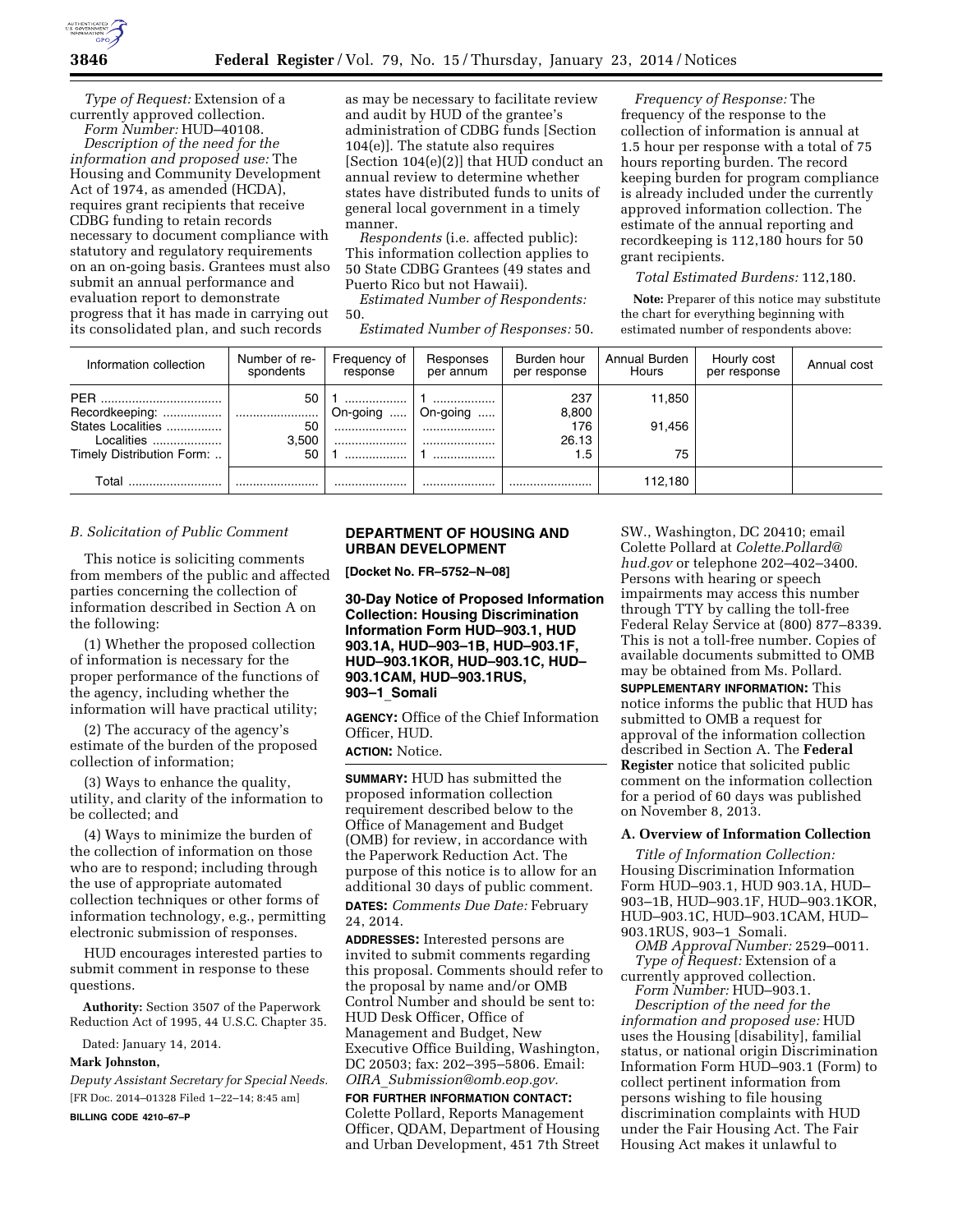

*Type of Request:* Extension of a currently approved collection.

*Form Number:* HUD–40108. *Description of the need for the information and proposed use:* The Housing and Community Development Act of 1974, as amended (HCDA), requires grant recipients that receive CDBG funding to retain records necessary to document compliance with statutory and regulatory requirements on an on-going basis. Grantees must also submit an annual performance and evaluation report to demonstrate progress that it has made in carrying out its consolidated plan, and such records

as may be necessary to facilitate review and audit by HUD of the grantee's administration of CDBG funds [Section 104(e)]. The statute also requires [Section 104(e)(2)] that HUD conduct an annual review to determine whether states have distributed funds to units of general local government in a timely manner.

*Respondents* (i.e. affected public): This information collection applies to 50 State CDBG Grantees (49 states and Puerto Rico but not Hawaii).

*Estimated Number of Respondents:*  50.

*Estimated Number of Responses:* 50.

*Frequency of Response:* The frequency of the response to the collection of information is annual at 1.5 hour per response with a total of 75 hours reporting burden. The record keeping burden for program compliance is already included under the currently approved information collection. The estimate of the annual reporting and recordkeeping is 112,180 hours for 50 grant recipients.

### *Total Estimated Burdens:* 112,180.

**Note:** Preparer of this notice may substitute the chart for everything beginning with estimated number of respondents above:

| Information collection                                       | Number of re-<br>spondents | Frequency of<br>response | Responses<br>per annum | Burden hour<br>per response | Annual Burden<br>Hours | Hourly cost<br>per response | Annual cost |
|--------------------------------------------------------------|----------------------------|--------------------------|------------------------|-----------------------------|------------------------|-----------------------------|-------------|
| PFR<br>Recordkeeping:                                        | 50<br>                     | On-going $\ldots$        | On-going               | 237<br>8,800                | 11.850                 |                             |             |
| States Localities<br>Localities<br>Timely Distribution Form: | 50<br>3.500<br>50          | <br>                     | <br>                   | 176<br>26.13<br>l.5         | 91.456<br>75           |                             |             |
| Total                                                        |                            |                          |                        |                             | 112,180                |                             |             |

## *B. Solicitation of Public Comment*

This notice is soliciting comments from members of the public and affected parties concerning the collection of information described in Section A on the following:

(1) Whether the proposed collection of information is necessary for the proper performance of the functions of the agency, including whether the information will have practical utility;

(2) The accuracy of the agency's estimate of the burden of the proposed collection of information;

(3) Ways to enhance the quality, utility, and clarity of the information to be collected; and

(4) Ways to minimize the burden of the collection of information on those who are to respond; including through the use of appropriate automated collection techniques or other forms of information technology, e.g., permitting electronic submission of responses.

HUD encourages interested parties to submit comment in response to these questions.

**Authority:** Section 3507 of the Paperwork Reduction Act of 1995, 44 U.S.C. Chapter 35.

Dated: January 14, 2014.

## **Mark Johnston,**

*Deputy Assistant Secretary for Special Needs.*  [FR Doc. 2014–01328 Filed 1–22–14; 8:45 am] **BILLING CODE 4210–67–P** 

# **DEPARTMENT OF HOUSING AND URBAN DEVELOPMENT**

**[Docket No. FR–5752–N–08]** 

**30-Day Notice of Proposed Information Collection: Housing Discrimination Information Form HUD–903.1, HUD 903.1A, HUD–903–1B, HUD–903.1F, HUD–903.1KOR, HUD–903.1C, HUD– 903.1CAM, HUD–903.1RUS, 903–1**\_**Somali** 

**AGENCY:** Office of the Chief Information Officer, HUD. **ACTION:** Notice.

**SUMMARY:** HUD has submitted the proposed information collection requirement described below to the Office of Management and Budget (OMB) for review, in accordance with the Paperwork Reduction Act. The purpose of this notice is to allow for an additional 30 days of public comment. **DATES:** *Comments Due Date:* February 24, 2014.

**ADDRESSES:** Interested persons are invited to submit comments regarding this proposal. Comments should refer to the proposal by name and/or OMB Control Number and should be sent to: HUD Desk Officer, Office of Management and Budget, New Executive Office Building, Washington, DC 20503; fax: 202–395–5806. Email: *OIRA*\_*[Submission@omb.eop.gov.](mailto:OIRA_Submission@omb.eop.gov)* 

**FOR FURTHER INFORMATION CONTACT:**  Colette Pollard, Reports Management Officer, QDAM, Department of Housing and Urban Development, 451 7th Street

SW., Washington, DC 20410; email Colette Pollard at *[Colette.Pollard@](mailto:Colette.Pollard@hud.gov) [hud.gov](mailto:Colette.Pollard@hud.gov)* or telephone 202–402–3400. Persons with hearing or speech impairments may access this number through TTY by calling the toll-free Federal Relay Service at (800) 877–8339. This is not a toll-free number. Copies of available documents submitted to OMB may be obtained from Ms. Pollard.

**SUPPLEMENTARY INFORMATION:** This notice informs the public that HUD has submitted to OMB a request for approval of the information collection described in Section A. The **Federal Register** notice that solicited public comment on the information collection for a period of 60 days was published on November 8, 2013.

## **A. Overview of Information Collection**

*Title of Information Collection:*  Housing Discrimination Information Form HUD–903.1, HUD 903.1A, HUD– 903–1B, HUD–903.1F, HUD–903.1KOR, HUD–903.1C, HUD–903.1CAM, HUD– 903.1RUS, 903–1\_Somali.

*OMB Approval Number:* 2529–0011. *Type of Request:* Extension of a currently approved collection.

*Form Number:* HUD–903.1.

*Description of the need for the information and proposed use:* HUD uses the Housing [disability], familial status, or national origin Discrimination Information Form HUD–903.1 (Form) to collect pertinent information from persons wishing to file housing discrimination complaints with HUD under the Fair Housing Act. The Fair Housing Act makes it unlawful to